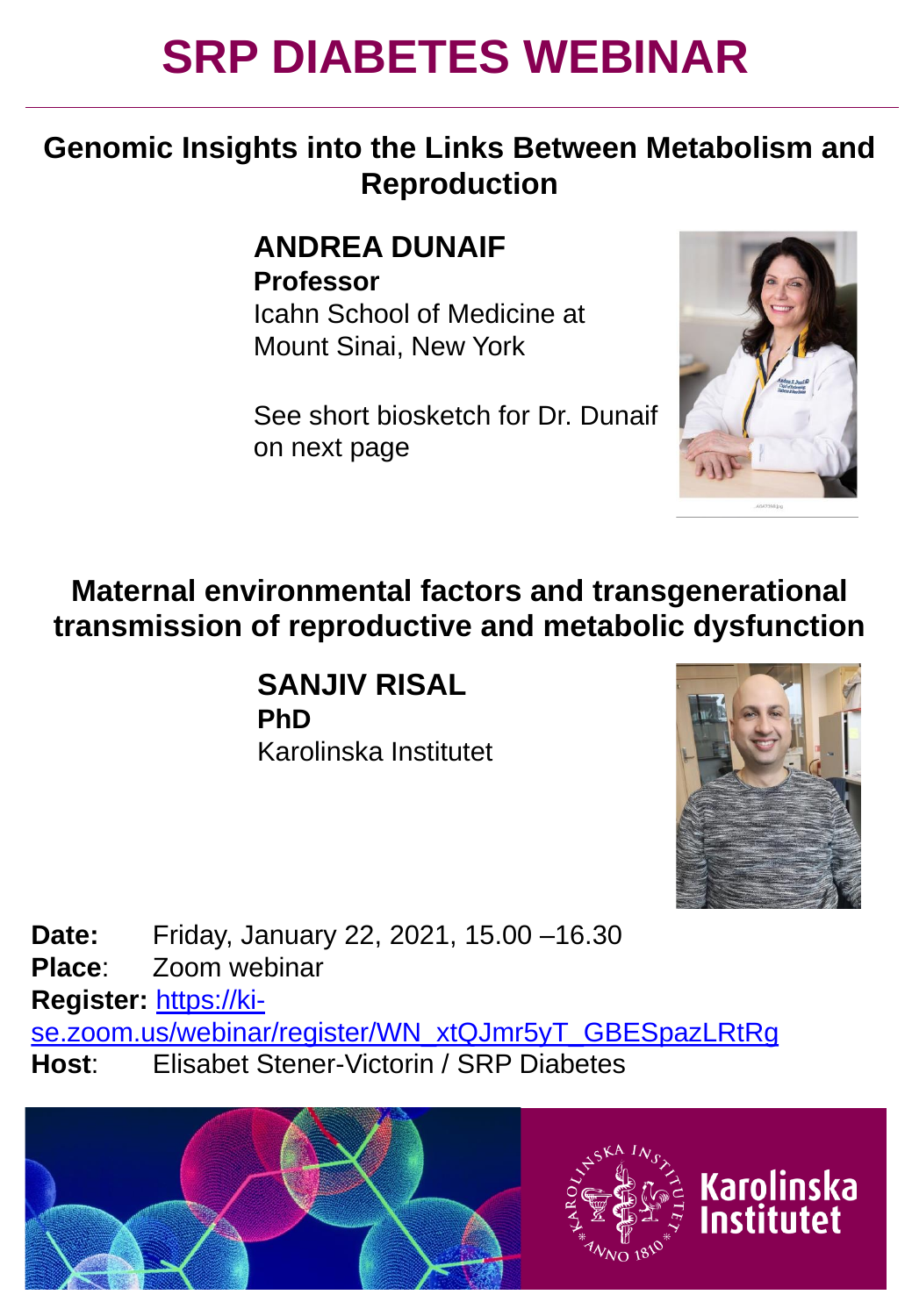# **SRP DIABETES WEBINAR**

### **Genomic Insights into the Links Between Metabolism and Reproduction**

#### **ANDREA DUNAIF Professor**

Icahn School of Medicine at Mount Sinai, New York

See short biosketch for Dr. Dunaif on next page



**Maternal environmental factors and transgenerational transmission of reproductive and metabolic dysfunction**

> **SANJIV RISAL PhD** Karolinska Institutet



**Karolinska** Institutet

**Date:** Friday, January 22, 2021, 15.00 –16.30 **Place**: Zoom webinar **Register:** https://ki[se.zoom.us/webinar/register/WN\\_xtQJmr5yT\\_GBESpazLRtRg](https://ki-se.zoom.us/webinar/register/WN_xtQJmr5yT_GBESpazLRtRg) **Host**: Elisabet Stener-Victorin / SRP Diabetes